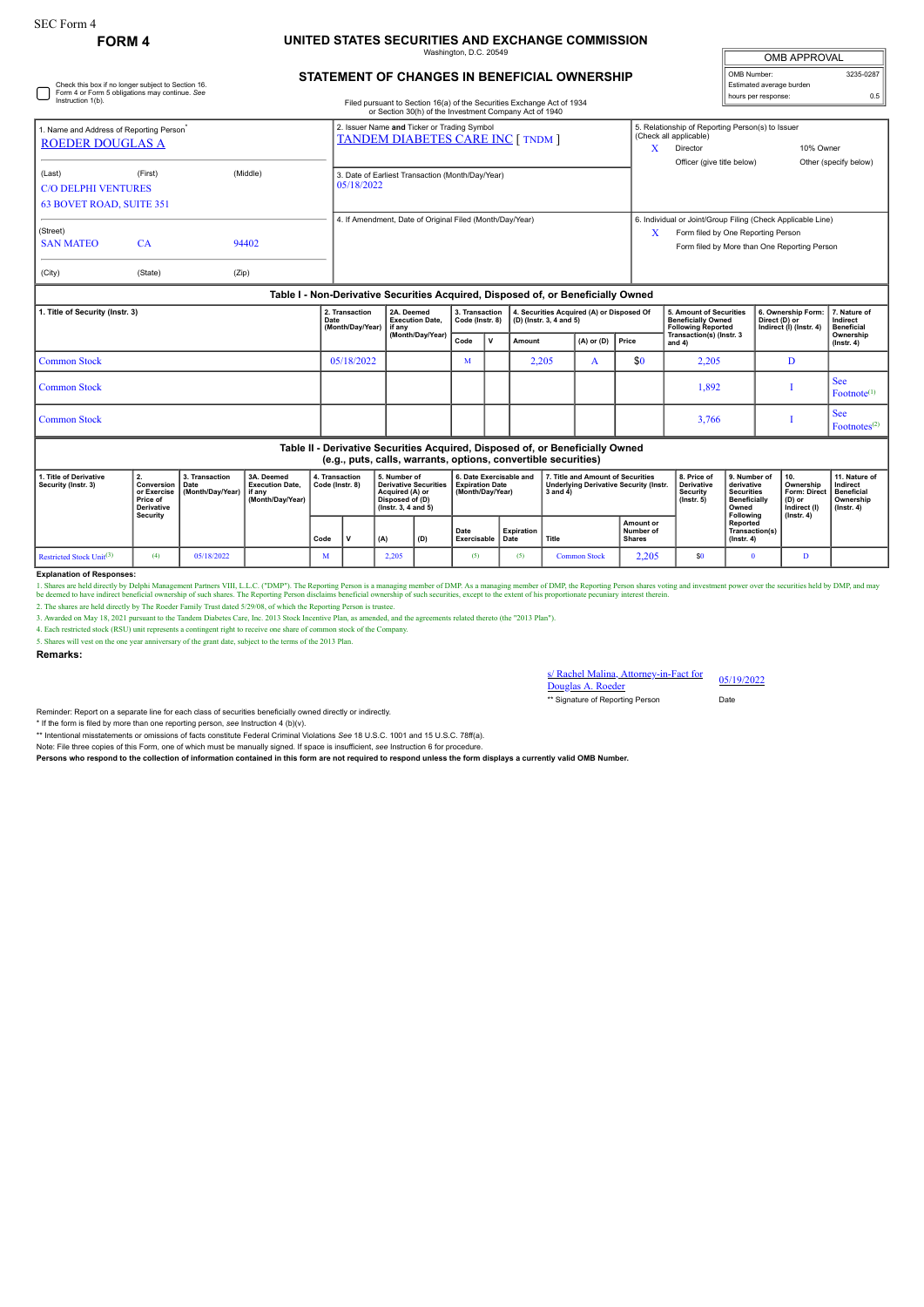#### **FORM 4 UNITED STATES SECURITIES AND EXCHANGE COMMISSION** haton, D.C. 2

| <b>OMB APPROVAL</b>      |           |  |  |  |  |  |  |  |  |
|--------------------------|-----------|--|--|--|--|--|--|--|--|
| OMB Number:              | 3235-0287 |  |  |  |  |  |  |  |  |
| Estimated average burden |           |  |  |  |  |  |  |  |  |
| hours per response:      | 0.5       |  |  |  |  |  |  |  |  |

See Footnotes<sup>(2)</sup>

# **STATEMENT OF CHANGES IN BENEFICIAL OWNERSHIP**

| Instruction 1(b).                                                               | Check this box if no longer subject to Section 16.<br>Form 4 or Form 5 obligations may continue. See |                                                 | Estimated average burden<br>0.5<br>hours per response:<br>Filed pursuant to Section 16(a) of the Securities Exchange Act of 1934<br>or Section 30(h) of the Investment Company Act of 1940 |                                                  |                                                                      |        |                |       |                                                                                                                      |                                                                |                                               |                                                                                                                                                   |                                       |  |
|---------------------------------------------------------------------------------|------------------------------------------------------------------------------------------------------|-------------------------------------------------|--------------------------------------------------------------------------------------------------------------------------------------------------------------------------------------------|--------------------------------------------------|----------------------------------------------------------------------|--------|----------------|-------|----------------------------------------------------------------------------------------------------------------------|----------------------------------------------------------------|-----------------------------------------------|---------------------------------------------------------------------------------------------------------------------------------------------------|---------------------------------------|--|
| 1. Name and Address of Reporting Person <sup>*</sup><br><b>ROEDER DOUGLAS A</b> |                                                                                                      |                                                 | 2. Issuer Name and Ticker or Trading Symbol<br>TANDEM DIABETES CARE INC [ TNDM ]                                                                                                           |                                                  |                                                                      |        |                | X     | 5. Relationship of Reporting Person(s) to Issuer<br>(Check all applicable)<br>Director<br>Officer (give title below) | 10% Owner                                                      | Other (specify below)                         |                                                                                                                                                   |                                       |  |
| (Last)<br><b>C/O DELPHI VENTURES</b><br><b>63 BOVET ROAD, SUITE 351</b>         | (First)                                                                                              | (Middle)                                        | 05/18/2022                                                                                                                                                                                 | 3. Date of Earliest Transaction (Month/Day/Year) |                                                                      |        |                |       |                                                                                                                      |                                                                |                                               |                                                                                                                                                   |                                       |  |
| (Street)<br><b>SAN MATEO</b>                                                    | CA                                                                                                   | 94402                                           | 4. If Amendment. Date of Original Filed (Month/Dav/Year)                                                                                                                                   |                                                  |                                                                      |        |                |       |                                                                                                                      |                                                                |                                               | 6. Individual or Joint/Group Filing (Check Applicable Line)<br>Form filed by One Reporting Person<br>Form filed by More than One Reporting Person |                                       |  |
| (City)                                                                          | (State)                                                                                              | (Zip)                                           |                                                                                                                                                                                            |                                                  |                                                                      |        |                |       |                                                                                                                      |                                                                |                                               |                                                                                                                                                   |                                       |  |
|                                                                                 |                                                                                                      |                                                 | Table I - Non-Derivative Securities Acquired, Disposed of, or Beneficially Owned                                                                                                           |                                                  |                                                                      |        |                |       |                                                                                                                      |                                                                |                                               |                                                                                                                                                   |                                       |  |
| 1. Title of Security (Instr. 3)                                                 | 2. Transaction<br>Date<br>(Month/Day/Year)                                                           | 2A. Deemed<br><b>Execution Date.</b><br>lif any | 3. Transaction<br>Code (Instr. 8)                                                                                                                                                          |                                                  | 4. Securities Acquired (A) or Disposed Of<br>(D) (Instr. 3, 4 and 5) |        |                |       | 5. Amount of Securities<br><b>Beneficially Owned</b><br><b>Following Reported</b>                                    | 6. Ownership Form:<br>Direct (D) or<br>Indirect (I) (Instr. 4) | 7. Nature of<br>Indirect<br><b>Beneficial</b> |                                                                                                                                                   |                                       |  |
|                                                                                 |                                                                                                      |                                                 | (Month/Day/Year)                                                                                                                                                                           | Code                                             | $\mathbf v$                                                          | Amount | $(A)$ or $(D)$ | Price |                                                                                                                      | Transaction(s) (Instr. 3<br>and 4)                             |                                               | Ownership<br>$($ Instr. 4 $)$                                                                                                                     |                                       |  |
| <b>Common Stock</b>                                                             | 05/18/2022                                                                                           |                                                 | м                                                                                                                                                                                          |                                                  | 2,205                                                                | A      |                | \$0   | 2,205                                                                                                                | D                                                              |                                               |                                                                                                                                                   |                                       |  |
| <b>Common Stock</b>                                                             |                                                                                                      |                                                 |                                                                                                                                                                                            |                                                  |                                                                      |        |                |       |                                                                                                                      |                                                                | 1.892                                         |                                                                                                                                                   | <b>See</b><br>Footnote <sup>(1)</sup> |  |

 $Common Stock$   $I$ 

## **Table II - Derivative Securities Acquired, Disposed of, or Beneficially Owned**

| (e.g., puts, calls, warrants, options, convertible securities) |                                                                       |                                                  |                                                                      |                                   |  |                                                                                                                 |     |                                                                       |                    |                                                                                                |                                         |                                                                  |                                                                                              |                                                                                       |                                                                          |
|----------------------------------------------------------------|-----------------------------------------------------------------------|--------------------------------------------------|----------------------------------------------------------------------|-----------------------------------|--|-----------------------------------------------------------------------------------------------------------------|-----|-----------------------------------------------------------------------|--------------------|------------------------------------------------------------------------------------------------|-----------------------------------------|------------------------------------------------------------------|----------------------------------------------------------------------------------------------|---------------------------------------------------------------------------------------|--------------------------------------------------------------------------|
| 1. Title of Derivative<br>Security (Instr. 3)                  | <b>Conversion   Date</b><br>Price of<br><b>Derivative</b><br>Security | 3. Transaction<br>or Exercise   (Month/Dav/Year) | 3A. Deemed<br><b>Execution Date.</b><br>l if anv<br>(Month/Dav/Year) | 4. Transaction<br>Code (Instr. 8) |  | 5. Number of<br><b>Derivative Securities</b><br>Acquired (A) or<br>Disposed of (D)<br>$($ lnstr. 3. 4 and 5 $)$ |     | 6. Date Exercisable and<br><b>Expiration Date</b><br>(Month/Dav/Year) |                    | 7. Title and Amount of Securities<br><b>Underlying Derivative Security (Instr.</b><br>3 and 4) |                                         | 8. Price of<br><b>Derivative</b><br>Security<br>$($ lnstr $, 5)$ | 9. Number of<br>derivative<br><b>Securities</b><br><b>Beneficially</b><br>Owned<br>Following | 10.<br>Ownership<br><b>Form: Direct</b><br>(D) or<br>Indirect (I)<br>$($ lnstr. 4 $)$ | 11. Nature of<br>Indirect<br>Beneficial<br>Ownership<br>$($ lnstr $, 4)$ |
|                                                                |                                                                       |                                                  |                                                                      | Code                              |  | (A)                                                                                                             | (D) | Date<br>Exercisable                                                   | Expiration<br>Date | ' Title                                                                                        | Amount or<br>Number of<br><b>Shares</b> |                                                                  | Reported<br>Transaction(s)<br>$($ lnstr. 4 $)$                                               |                                                                                       |                                                                          |
| Restricted Stock Unit <sup>(3)</sup>                           | (4)                                                                   | 05/18/2022                                       |                                                                      | M                                 |  | 2.205                                                                                                           |     |                                                                       | (5)                | <b>Common Stock</b>                                                                            | 2.205                                   | \$0                                                              |                                                                                              |                                                                                       |                                                                          |

### **Explanation of Responses:**

1. Shares are held directly by Delphi Management Partners VIII, L.L.C. ("DMP"). The Reporting Person is a managing member of DMP. As a managing member of DMP, the Reporting Person shares voting and investment power over th

3. Awarded on May 18, 2021 pursuant to the Tandem Diabetes Care, Inc. 2013 Stock Incentive Plan, as amended, and the agreements related thereto (the "2013 Plan").

4. Each restricted stock (RSU) unit represents a contingent right to receive one share of common stock of the Company. 5. Shares will vest on the one year anniversary of the grant date, subject to the terms of the 2013 Plan.

**Remarks:**

s/ Rachel Malina, Attorney-in-Fact for s/ Rachel Malina, Attorney-in-Fact for 05/19/2022<br>Douglas A. Roeder

\*\* Signature of Reporting Person Date

Reminder: Report on a separate line for each class of securities beneficially owned directly or indirectly.

\* If the form is filed by more than one reporting person, *see* Instruction 4 (b)(v).

\*\* Intentional misstatements or omissions of facts constitute Federal Criminal Violations *See* 18 U.S.C. 1001 and 15 U.S.C. 78ff(a).

Note: File three copies of this Form, one of which must be manually signed. If space is insufficient, *see* Instruction 6 for procedure.

**Persons who respond to the collection of information contained in this form are not required to respond unless the form displays a currently valid OMB Number.**